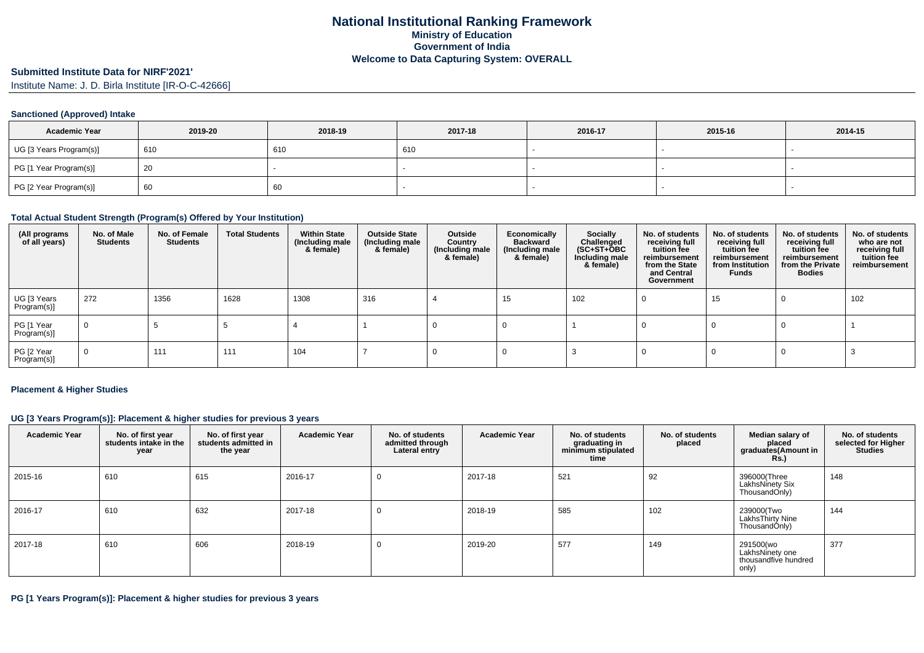### **Submitted Institute Data for NIRF'2021'**

Institute Name: J. D. Birla Institute [IR-O-C-42666]

### **Sanctioned (Approved) Intake**

| <b>Academic Year</b>    | 2019-20 | 2018-19 | 2017-18 | 2016-17 | 2015-16 | 2014-15 |
|-------------------------|---------|---------|---------|---------|---------|---------|
| UG [3 Years Program(s)] | 610     | 610     | 610     |         |         |         |
| PG [1 Year Program(s)]  | -20     |         |         |         |         |         |
| PG [2 Year Program(s)]  | 60      | 60      |         |         |         |         |

### **Total Actual Student Strength (Program(s) Offered by Your Institution)**

| (All programs<br>of all years) | No. of Male<br><b>Students</b> | No. of Female<br>Students | <b>Total Students</b> | <b>Within State</b><br>(Including male)<br>& female) | <b>Outside State</b><br>(Including male<br>& female) | Outside<br>Country<br>(Including male<br>& female) | Economically<br><b>Backward</b><br>(Including male<br>& female) | <b>Socially</b><br>Challenged<br>$(SC+ST+\tilde{O}BC)$<br>Including male<br>& female) | No. of students<br>receiving full<br>tuition fee<br>reimbursement<br>from the State<br>and Central<br>Government | No. of students<br>receiving full<br>tuition fee<br>reimbursement<br>from Institution<br>Funds | No. of students<br>receiving full<br>tuition fee<br>reimbursement<br>from the Private<br><b>Bodies</b> | No. of students<br>who are not<br>receiving full<br>tuition fee<br>reimbursement |
|--------------------------------|--------------------------------|---------------------------|-----------------------|------------------------------------------------------|------------------------------------------------------|----------------------------------------------------|-----------------------------------------------------------------|---------------------------------------------------------------------------------------|------------------------------------------------------------------------------------------------------------------|------------------------------------------------------------------------------------------------|--------------------------------------------------------------------------------------------------------|----------------------------------------------------------------------------------|
| UG [3 Years<br>Program(s)]     | 272                            | 1356                      | 1628                  | 1308                                                 | 316                                                  |                                                    | 15                                                              | 102                                                                                   |                                                                                                                  | 15                                                                                             | 0                                                                                                      | 102                                                                              |
| PG [1 Year<br>Program(s)]      | $\overline{0}$                 |                           |                       |                                                      |                                                      |                                                    |                                                                 |                                                                                       |                                                                                                                  |                                                                                                |                                                                                                        |                                                                                  |
| PG [2 Year<br>Program(s)]      | 0                              | 111                       | 111                   | 104                                                  |                                                      |                                                    |                                                                 |                                                                                       |                                                                                                                  |                                                                                                |                                                                                                        |                                                                                  |

#### **Placement & Higher Studies**

### **UG [3 Years Program(s)]: Placement & higher studies for previous 3 years**

| <b>Academic Year</b> | No. of first year<br>students intake in the<br>year | No. of first year<br>students admitted in<br>the year | <b>Academic Year</b> | No. of students<br>admitted through<br>Lateral entry | <b>Academic Year</b> | No. of students<br>graduating in<br>minimum stipulated<br>time | No. of students<br>placed | Median salary of<br>placed<br>graduates(Amount in<br><b>Rs.</b> ) | No. of students<br>selected for Higher<br><b>Studies</b> |
|----------------------|-----------------------------------------------------|-------------------------------------------------------|----------------------|------------------------------------------------------|----------------------|----------------------------------------------------------------|---------------------------|-------------------------------------------------------------------|----------------------------------------------------------|
| 2015-16              | 610                                                 | 615                                                   | 2016-17              |                                                      | 2017-18              | 521                                                            | 92                        | 396000(Three<br>LakhsNinety Six<br>ThousandOnly)                  | 148                                                      |
| 2016-17              | 610                                                 | 632                                                   | 2017-18              |                                                      | 2018-19              | 585                                                            | 102                       | 239000(Two<br>LakhsThirty Nine<br>ThousandOnly)                   | 144                                                      |
| 2017-18              | 610                                                 | 606                                                   | 2018-19              |                                                      | 2019-20              | 577                                                            | 149                       | 291500(wo<br>LakhsNinety one<br>thousandfive hundred<br>only)     | 377                                                      |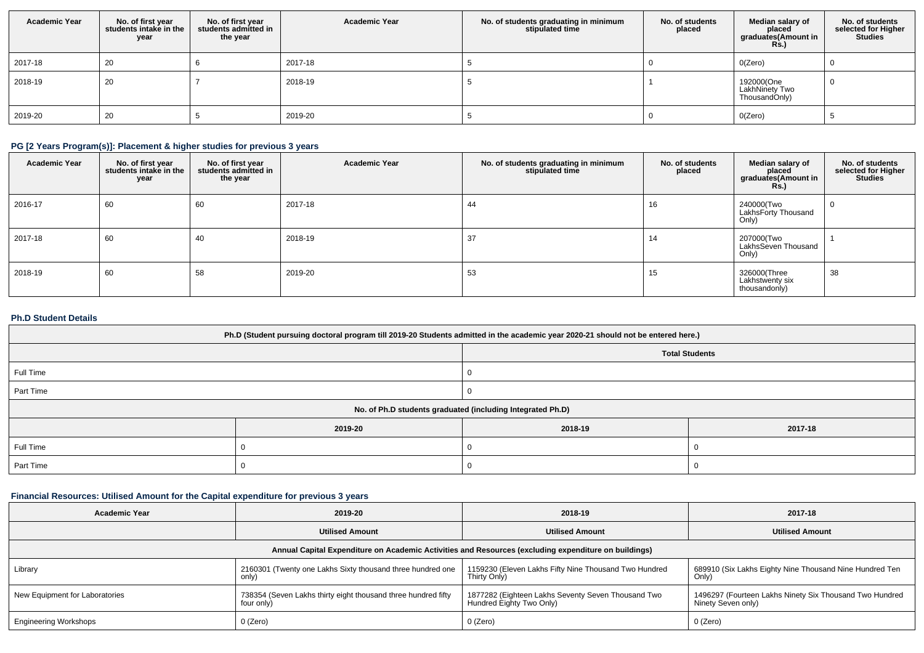| <b>Academic Year</b> | No. of first year<br>students intake in the<br>year | No. of first year<br>students admitted in<br>the year | <b>Academic Year</b> | No. of students graduating in minimum<br>stipulated time | No. of students<br>placed | Median salary of<br>placed<br>graduates(Amount in<br><b>Rs.)</b> | No. of students<br>selected for Higher<br><b>Studies</b> |
|----------------------|-----------------------------------------------------|-------------------------------------------------------|----------------------|----------------------------------------------------------|---------------------------|------------------------------------------------------------------|----------------------------------------------------------|
| 2017-18              | 20                                                  |                                                       | 2017-18              |                                                          |                           | O(Zero)                                                          |                                                          |
| 2018-19              | 20                                                  |                                                       | 2018-19              |                                                          |                           | 192000(One<br>LakhNinety Two<br>ThousandOnly)                    |                                                          |
| 2019-20              | 20                                                  |                                                       | 2019-20              |                                                          |                           | O(Zero)                                                          |                                                          |

# **PG [2 Years Program(s)]: Placement & higher studies for previous 3 years**

| <b>Academic Year</b> | No. of first year<br>students intake in the<br>year | No. of first year<br>students admitted in<br>the year | <b>Academic Year</b> | No. of students graduating in minimum<br>stipulated time | No. of students<br>placed | Median salary of<br>placed<br>graduates(Amount in<br><b>Rs.</b> ) | No. of students<br>selected for Higher<br><b>Studies</b> |
|----------------------|-----------------------------------------------------|-------------------------------------------------------|----------------------|----------------------------------------------------------|---------------------------|-------------------------------------------------------------------|----------------------------------------------------------|
| 2016-17              | 60                                                  | 60                                                    | 2017-18              | 44                                                       | 16                        | 240000(Two<br>LakhsForty Thousand<br>Only)                        |                                                          |
| 2017-18              | 60                                                  | 40                                                    | 2018-19              | 37                                                       | 14                        | 207000(Two<br>LakhsSeven Thousand<br>Only)                        |                                                          |
| 2018-19              | 60                                                  | 58                                                    | 2019-20              | 53                                                       | 15                        | 326000(Three<br>Lakhstwenty six<br>thousandonly)                  | 38                                                       |

# **Ph.D Student Details**

| Ph.D (Student pursuing doctoral program till 2019-20 Students admitted in the academic year 2020-21 should not be entered here.) |         |                                                            |         |  |  |  |
|----------------------------------------------------------------------------------------------------------------------------------|---------|------------------------------------------------------------|---------|--|--|--|
| <b>Total Students</b>                                                                                                            |         |                                                            |         |  |  |  |
| Full Time                                                                                                                        |         |                                                            |         |  |  |  |
| Part Time                                                                                                                        |         |                                                            |         |  |  |  |
|                                                                                                                                  |         | No. of Ph.D students graduated (including Integrated Ph.D) |         |  |  |  |
|                                                                                                                                  | 2019-20 | 2018-19                                                    | 2017-18 |  |  |  |
| Full Time                                                                                                                        |         |                                                            |         |  |  |  |
| Part Time                                                                                                                        |         |                                                            |         |  |  |  |

# **Financial Resources: Utilised Amount for the Capital expenditure for previous 3 years**

| <b>Academic Year</b>                                                                                 | 2019-20                                                                     | 2018-19                                                                        | 2017-18                                                                       |  |  |  |  |  |
|------------------------------------------------------------------------------------------------------|-----------------------------------------------------------------------------|--------------------------------------------------------------------------------|-------------------------------------------------------------------------------|--|--|--|--|--|
|                                                                                                      | <b>Utilised Amount</b>                                                      | <b>Utilised Amount</b>                                                         | <b>Utilised Amount</b>                                                        |  |  |  |  |  |
| Annual Capital Expenditure on Academic Activities and Resources (excluding expenditure on buildings) |                                                                             |                                                                                |                                                                               |  |  |  |  |  |
| Library                                                                                              | 2160301 (Twenty one Lakhs Sixty thousand three hundred one<br>only)         | 1159230 (Eleven Lakhs Fifty Nine Thousand Two Hundred<br>Thirty Only)          | 689910 (Six Lakhs Eighty Nine Thousand Nine Hundred Ten<br>Only)              |  |  |  |  |  |
| New Equipment for Laboratories                                                                       | 738354 (Seven Lakhs thirty eight thousand three hundred fifty<br>four only) | 1877282 (Eighteen Lakhs Seventy Seven Thousand Two<br>Hundred Eighty Two Only) | 1496297 (Fourteen Lakhs Ninety Six Thousand Two Hundred<br>Ninety Seven only) |  |  |  |  |  |
| <b>Engineering Workshops</b>                                                                         | 0 (Zero)                                                                    | 0 (Zero)                                                                       | 0 (Zero)                                                                      |  |  |  |  |  |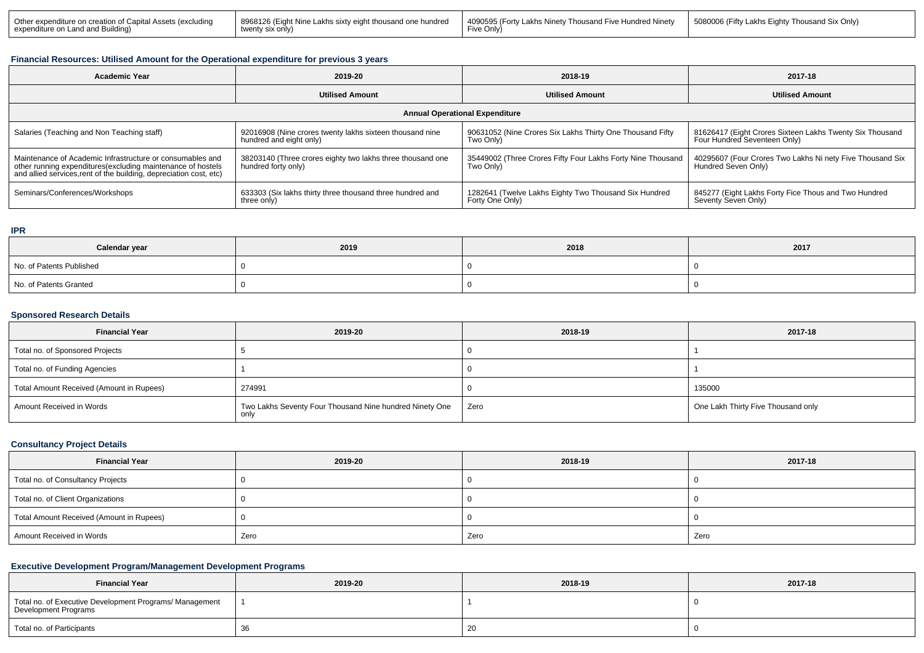| Other expenditur<br>∴anital<br>e on creation.<br>`excludino_<br>' Asse<br>' expendit.<br>d Buildinc | 8968126<br>undrec<br>harsunn<br>l akhs six<br>. ught Nine :<br>. onlv'<br>אוס | <b>Hundred Ninetv</b><br>4090<br>)595 (Fortv<br>s Ninetv<br>housand Five I<br>, akhr<br><sub>'</sub> ve Onlv <sup>∖</sup> | 5080006 (Fifty<br>Thousand Six Onlv)<br>-iahtv |
|-----------------------------------------------------------------------------------------------------|-------------------------------------------------------------------------------|---------------------------------------------------------------------------------------------------------------------------|------------------------------------------------|
|-----------------------------------------------------------------------------------------------------|-------------------------------------------------------------------------------|---------------------------------------------------------------------------------------------------------------------------|------------------------------------------------|

### **Financial Resources: Utilised Amount for the Operational expenditure for previous 3 years**

| <b>Academic Year</b>                                                                                                                                                                            | 2019-20                                                                             | 2018-19                                                                  | 2017-18                                                                                  |  |  |  |  |  |
|-------------------------------------------------------------------------------------------------------------------------------------------------------------------------------------------------|-------------------------------------------------------------------------------------|--------------------------------------------------------------------------|------------------------------------------------------------------------------------------|--|--|--|--|--|
|                                                                                                                                                                                                 | <b>Utilised Amount</b>                                                              | <b>Utilised Amount</b>                                                   | <b>Utilised Amount</b>                                                                   |  |  |  |  |  |
| <b>Annual Operational Expenditure</b>                                                                                                                                                           |                                                                                     |                                                                          |                                                                                          |  |  |  |  |  |
| Salaries (Teaching and Non Teaching staff)                                                                                                                                                      | 92016908 (Nine crores twenty lakhs sixteen thousand nine<br>hundred and eight only) | 90631052 (Nine Crores Six Lakhs Thirty One Thousand Fifty<br>Two Only)   | 81626417 (Eight Crores Sixteen Lakhs Twenty Six Thousand<br>Four Hundred Seventeen Only) |  |  |  |  |  |
| Maintenance of Academic Infrastructure or consumables and<br>other running expenditures (excluding maintenance of hostels<br>and allied services, rent of the building, depreciation cost, etc) | 38203140 (Three crores eighty two lakhs three thousand one<br>hundred forty only)   | 35449002 (Three Crores Fifty Four Lakhs Forty Nine Thousand<br>Two Only) | 40295607 (Four Crores Two Lakhs Ni nety Five Thousand Six<br>Hundred Seven Only)         |  |  |  |  |  |
| Seminars/Conferences/Workshops                                                                                                                                                                  | 633303 (Six lakhs thirty three thousand three hundred and<br>three only)            | 1282641 (Twelve Lakhs Eighty Two Thousand Six Hundred<br>Forty One Only) | 845277 (Eight Lakhs Forty Fice Thous and Two Hundred<br>Seventy Seven Only)              |  |  |  |  |  |

### **IPR**

| Calendar year            | 2019 | 2018 | 2017 |
|--------------------------|------|------|------|
| No. of Patents Published |      |      |      |
| No. of Patents Granted   |      |      |      |

### **Sponsored Research Details**

| <b>Financial Year</b>                    | 2019-20                                                         | 2018-19 | 2017-18                            |
|------------------------------------------|-----------------------------------------------------------------|---------|------------------------------------|
| Total no. of Sponsored Projects          |                                                                 |         |                                    |
| Total no. of Funding Agencies            |                                                                 |         |                                    |
| Total Amount Received (Amount in Rupees) | 274991                                                          |         | 135000                             |
| Amount Received in Words                 | Two Lakhs Seventy Four Thousand Nine hundred Ninety One<br>only | Zero    | One Lakh Thirty Five Thousand only |

### **Consultancy Project Details**

| <b>Financial Year</b>                    | 2019-20 | 2018-19 | 2017-18 |
|------------------------------------------|---------|---------|---------|
| Total no. of Consultancy Projects        |         |         |         |
| Total no. of Client Organizations        |         |         |         |
| Total Amount Received (Amount in Rupees) |         |         |         |
| Amount Received in Words                 | Zero    | Zero    | Zero    |

# **Executive Development Program/Management Development Programs**

| <b>Financial Year</b>                                                           | 2019-20 | 2018-19 | 2017-18 |
|---------------------------------------------------------------------------------|---------|---------|---------|
| Total no. of Executive Development Programs/ Management<br>Development Programs |         |         |         |
| Total no. of Participants                                                       |         | ۷J      |         |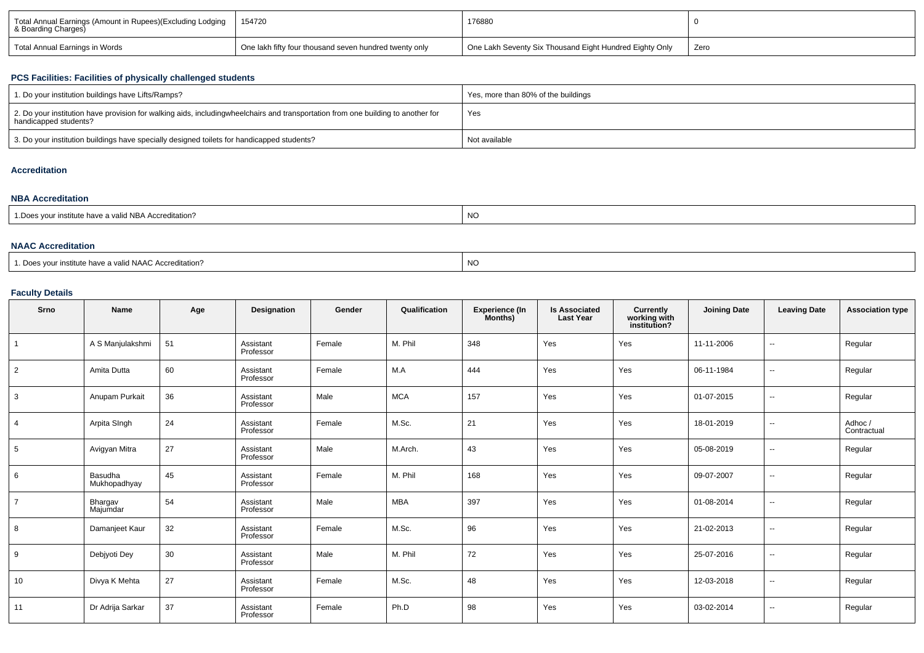| Total Annual Earnings (Amount in Rupees)(Excluding Lodging<br>& Boarding Charges) | 154720                                                 | 176880                                                  |      |
|-----------------------------------------------------------------------------------|--------------------------------------------------------|---------------------------------------------------------|------|
| Total Annual Earnings in Words                                                    | One lakh fifty four thousand seven hundred twenty only | One Lakh Seventy Six Thousand Eight Hundred Eighty Only | Zero |

## **PCS Facilities: Facilities of physically challenged students**

| 1. Do your institution buildings have Lifts/Ramps?                                                                                                        | Yes, more than 80% of the buildings |
|-----------------------------------------------------------------------------------------------------------------------------------------------------------|-------------------------------------|
| 2. Do your institution have provision for walking aids, includingwheelchairs and transportation from one building to another for<br>handicapped students? | Yes                                 |
| 3. Do your institution buildings have specially designed toilets for handicapped students?                                                                | Not available                       |

## **Accreditation**

### **NBA Accreditation**

| 1. Does vour institute have a valid NBA Accreditation? | NC |
|--------------------------------------------------------|----|
|                                                        |    |

### **NAAC Accreditation**

| 1. Does vour institute have a valid NAAC Accreditation? | NC. |
|---------------------------------------------------------|-----|
|---------------------------------------------------------|-----|

# **Faculty Details**

| Srno           | Name                    | Age | Designation            | Gender | Qualification | <b>Experience (In</b><br>Months) | <b>Is Associated</b><br><b>Last Year</b> | Currently<br>working with<br>institution? | <b>Joining Date</b> | <b>Leaving Date</b>      | <b>Association type</b> |
|----------------|-------------------------|-----|------------------------|--------|---------------|----------------------------------|------------------------------------------|-------------------------------------------|---------------------|--------------------------|-------------------------|
|                | A S Manjulakshmi        | 51  | Assistant<br>Professor | Female | M. Phil       | 348                              | Yes                                      | Yes                                       | 11-11-2006          | $\sim$                   | Regular                 |
| $\overline{2}$ | Amita Dutta             | 60  | Assistant<br>Professor | Female | M.A           | 444                              | Yes                                      | Yes                                       | 06-11-1984          | $\overline{\phantom{a}}$ | Regular                 |
| 3              | Anupam Purkait          | 36  | Assistant<br>Professor | Male   | <b>MCA</b>    | 157                              | Yes                                      | Yes                                       | 01-07-2015          | $\overline{\phantom{a}}$ | Regular                 |
| $\overline{4}$ | Arpita SIngh            | 24  | Assistant<br>Professor | Female | M.Sc.         | 21                               | Yes                                      | Yes                                       | 18-01-2019          | $\overline{\phantom{a}}$ | Adhoc/<br>Contractual   |
| 5              | Avigyan Mitra           | 27  | Assistant<br>Professor | Male   | M.Arch.       | 43                               | Yes                                      | Yes                                       | 05-08-2019          | $\overline{\phantom{a}}$ | Regular                 |
| 6              | Basudha<br>Mukhopadhyay | 45  | Assistant<br>Professor | Female | M. Phil       | 168                              | Yes                                      | Yes                                       | 09-07-2007          | $\overline{\phantom{a}}$ | Regular                 |
| $\overline{7}$ | Bhargav<br>Majumdar     | 54  | Assistant<br>Professor | Male   | <b>MBA</b>    | 397                              | Yes                                      | Yes                                       | 01-08-2014          | $\overline{\phantom{a}}$ | Regular                 |
| 8              | Damanjeet Kaur          | 32  | Assistant<br>Professor | Female | M.Sc.         | 96                               | Yes                                      | Yes                                       | 21-02-2013          | $\sim$                   | Regular                 |
| 9              | Debjyoti Dey            | 30  | Assistant<br>Professor | Male   | M. Phil       | 72                               | Yes                                      | Yes                                       | 25-07-2016          | $\overline{\phantom{a}}$ | Regular                 |
| 10             | Divya K Mehta           | 27  | Assistant<br>Professor | Female | M.Sc.         | 48                               | Yes                                      | Yes                                       | 12-03-2018          | $\overline{a}$           | Regular                 |
| 11             | Dr Adrija Sarkar        | 37  | Assistant<br>Professor | Female | Ph.D          | 98                               | Yes                                      | Yes                                       | 03-02-2014          | $\overline{\phantom{a}}$ | Regular                 |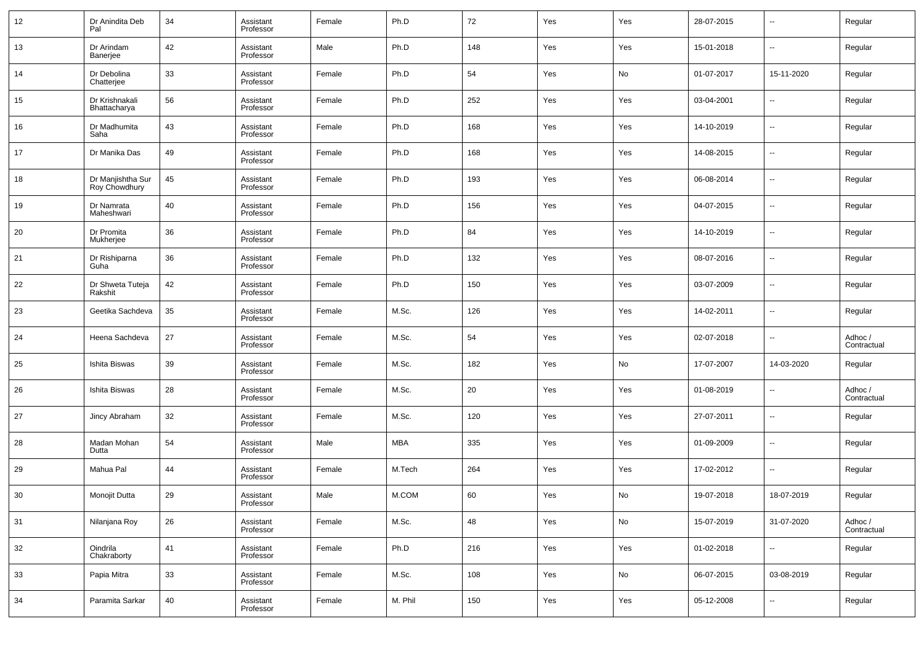| 12 | Dr Anindita Deb<br>Pal             | 34 | Assistant<br>Professor | Female | Ph.D    | 72  | Yes | Yes | 28-07-2015 | $\overline{\phantom{a}}$ | Regular                |
|----|------------------------------------|----|------------------------|--------|---------|-----|-----|-----|------------|--------------------------|------------------------|
| 13 | Dr Arindam<br>Banerjee             | 42 | Assistant<br>Professor | Male   | Ph.D    | 148 | Yes | Yes | 15-01-2018 | $\overline{\phantom{a}}$ | Regular                |
| 14 | Dr Debolina<br>Chatterjee          | 33 | Assistant<br>Professor | Female | Ph.D    | 54  | Yes | No  | 01-07-2017 | 15-11-2020               | Regular                |
| 15 | Dr Krishnakali<br>Bhattacharya     | 56 | Assistant<br>Professor | Female | Ph.D    | 252 | Yes | Yes | 03-04-2001 | $\overline{\phantom{a}}$ | Regular                |
| 16 | Dr Madhumita<br>Saha               | 43 | Assistant<br>Professor | Female | Ph.D    | 168 | Yes | Yes | 14-10-2019 | $\overline{\phantom{a}}$ | Regular                |
| 17 | Dr Manika Das                      | 49 | Assistant<br>Professor | Female | Ph.D    | 168 | Yes | Yes | 14-08-2015 | $\overline{\phantom{a}}$ | Regular                |
| 18 | Dr Manjishtha Sur<br>Roy Chowdhury | 45 | Assistant<br>Professor | Female | Ph.D    | 193 | Yes | Yes | 06-08-2014 | $\overline{\phantom{a}}$ | Regular                |
| 19 | Dr Namrata<br>Maheshwari           | 40 | Assistant<br>Professor | Female | Ph.D    | 156 | Yes | Yes | 04-07-2015 | $\overline{\phantom{a}}$ | Regular                |
| 20 | Dr Promita<br>Mukherjee            | 36 | Assistant<br>Professor | Female | Ph.D    | 84  | Yes | Yes | 14-10-2019 | $\overline{\phantom{a}}$ | Regular                |
| 21 | Dr Rishiparna<br>Guha              | 36 | Assistant<br>Professor | Female | Ph.D    | 132 | Yes | Yes | 08-07-2016 | $\overline{\phantom{a}}$ | Regular                |
| 22 | Dr Shweta Tuteja<br>Rakshit        | 42 | Assistant<br>Professor | Female | Ph.D    | 150 | Yes | Yes | 03-07-2009 | $\overline{\phantom{a}}$ | Regular                |
| 23 | Geetika Sachdeva                   | 35 | Assistant<br>Professor | Female | M.Sc.   | 126 | Yes | Yes | 14-02-2011 | $\overline{\phantom{a}}$ | Regular                |
| 24 | Heena Sachdeva                     | 27 | Assistant<br>Professor | Female | M.Sc.   | 54  | Yes | Yes | 02-07-2018 | $\overline{\phantom{a}}$ | Adhoc /<br>Contractual |
| 25 | Ishita Biswas                      | 39 | Assistant<br>Professor | Female | M.Sc.   | 182 | Yes | No  | 17-07-2007 | 14-03-2020               | Regular                |
| 26 | Ishita Biswas                      | 28 | Assistant<br>Professor | Female | M.Sc.   | 20  | Yes | Yes | 01-08-2019 | $\overline{\phantom{a}}$ | Adhoc /<br>Contractual |
| 27 | Jincy Abraham                      | 32 | Assistant<br>Professor | Female | M.Sc.   | 120 | Yes | Yes | 27-07-2011 | $\overline{\phantom{a}}$ | Regular                |
| 28 | Madan Mohan<br>Dutta               | 54 | Assistant<br>Professor | Male   | MBA     | 335 | Yes | Yes | 01-09-2009 | $\overline{\phantom{a}}$ | Regular                |
| 29 | Mahua Pal                          | 44 | Assistant<br>Professor | Female | M.Tech  | 264 | Yes | Yes | 17-02-2012 | $\overline{\phantom{a}}$ | Regular                |
| 30 | Monojit Dutta                      | 29 | Assistant<br>Professor | Male   | M.COM   | 60  | Yes | No  | 19-07-2018 | 18-07-2019               | Regular                |
| 31 | Nilanjana Roy                      | 26 | Assistant<br>Professor | Female | M.Sc.   | 48  | Yes | No  | 15-07-2019 | 31-07-2020               | Adhoc /<br>Contractual |
| 32 | Oindrila<br>Chakraborty            | 41 | Assistant<br>Professor | Female | Ph.D    | 216 | Yes | Yes | 01-02-2018 | $\overline{\phantom{a}}$ | Regular                |
| 33 | Papia Mitra                        | 33 | Assistant<br>Professor | Female | M.Sc.   | 108 | Yes | No  | 06-07-2015 | 03-08-2019               | Regular                |
| 34 | Paramita Sarkar                    | 40 | Assistant<br>Professor | Female | M. Phil | 150 | Yes | Yes | 05-12-2008 | $\overline{\phantom{a}}$ | Regular                |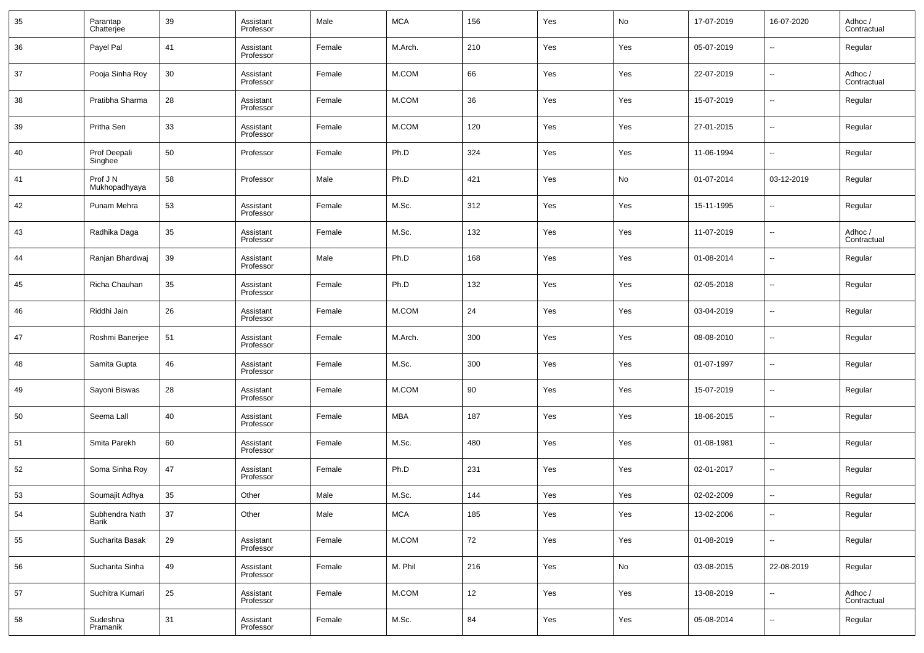| 35 | Parantap<br>Chatterjee    | 39 | Assistant<br>Professor | Male   | <b>MCA</b> | 156 | Yes | No  | 17-07-2019 | 16-07-2020               | Adhoc /<br>Contractual |
|----|---------------------------|----|------------------------|--------|------------|-----|-----|-----|------------|--------------------------|------------------------|
| 36 | Payel Pal                 | 41 | Assistant<br>Professor | Female | M.Arch.    | 210 | Yes | Yes | 05-07-2019 | --                       | Regular                |
| 37 | Pooja Sinha Roy           | 30 | Assistant<br>Professor | Female | M.COM      | 66  | Yes | Yes | 22-07-2019 | ш.                       | Adhoc /<br>Contractual |
| 38 | Pratibha Sharma           | 28 | Assistant<br>Professor | Female | M.COM      | 36  | Yes | Yes | 15-07-2019 | --                       | Regular                |
| 39 | Pritha Sen                | 33 | Assistant<br>Professor | Female | M.COM      | 120 | Yes | Yes | 27-01-2015 | ш.                       | Regular                |
| 40 | Prof Deepali<br>Singhee   | 50 | Professor              | Female | Ph.D       | 324 | Yes | Yes | 11-06-1994 | --                       | Regular                |
| 41 | Prof J N<br>Mukhopadhyaya | 58 | Professor              | Male   | Ph.D       | 421 | Yes | No  | 01-07-2014 | 03-12-2019               | Regular                |
| 42 | Punam Mehra               | 53 | Assistant<br>Professor | Female | M.Sc.      | 312 | Yes | Yes | 15-11-1995 | --                       | Regular                |
| 43 | Radhika Daga              | 35 | Assistant<br>Professor | Female | M.Sc.      | 132 | Yes | Yes | 11-07-2019 | ш.                       | Adhoc /<br>Contractual |
| 44 | Ranjan Bhardwaj           | 39 | Assistant<br>Professor | Male   | Ph.D       | 168 | Yes | Yes | 01-08-2014 | --                       | Regular                |
| 45 | Richa Chauhan             | 35 | Assistant<br>Professor | Female | Ph.D       | 132 | Yes | Yes | 02-05-2018 | ш.                       | Regular                |
| 46 | Riddhi Jain               | 26 | Assistant<br>Professor | Female | M.COM      | 24  | Yes | Yes | 03-04-2019 | --                       | Regular                |
| 47 | Roshmi Banerjee           | 51 | Assistant<br>Professor | Female | M.Arch.    | 300 | Yes | Yes | 08-08-2010 | ш.                       | Regular                |
| 48 | Samita Gupta              | 46 | Assistant<br>Professor | Female | M.Sc.      | 300 | Yes | Yes | 01-07-1997 | --                       | Regular                |
| 49 | Sayoni Biswas             | 28 | Assistant<br>Professor | Female | M.COM      | 90  | Yes | Yes | 15-07-2019 | ш.                       | Regular                |
| 50 | Seema Lall                | 40 | Assistant<br>Professor | Female | <b>MBA</b> | 187 | Yes | Yes | 18-06-2015 | --                       | Regular                |
| 51 | Smita Parekh              | 60 | Assistant<br>Professor | Female | M.Sc.      | 480 | Yes | Yes | 01-08-1981 | --                       | Regular                |
| 52 | Soma Sinha Roy            | 47 | Assistant<br>Professor | Female | Ph.D       | 231 | Yes | Yes | 02-01-2017 | --                       | Regular                |
| 53 | Soumajit Adhya            | 35 | Other                  | Male   | M.Sc.      | 144 | Yes | Yes | 02-02-2009 | $\overline{a}$           | Regular                |
| 54 | Subhendra Nath<br>Barik   | 37 | Other                  | Male   | <b>MCA</b> | 185 | Yes | Yes | 13-02-2006 | $\sim$                   | Regular                |
| 55 | Sucharita Basak           | 29 | Assistant<br>Professor | Female | M.COM      | 72  | Yes | Yes | 01-08-2019 | $\sim$                   | Regular                |
| 56 | Sucharita Sinha           | 49 | Assistant<br>Professor | Female | M. Phil    | 216 | Yes | No  | 03-08-2015 | 22-08-2019               | Regular                |
| 57 | Suchitra Kumari           | 25 | Assistant<br>Professor | Female | M.COM      | 12  | Yes | Yes | 13-08-2019 | $\overline{\phantom{a}}$ | Adhoc /<br>Contractual |
| 58 | Sudeshna<br>Pramanik      | 31 | Assistant<br>Professor | Female | M.Sc.      | 84  | Yes | Yes | 05-08-2014 | $\sim$                   | Regular                |